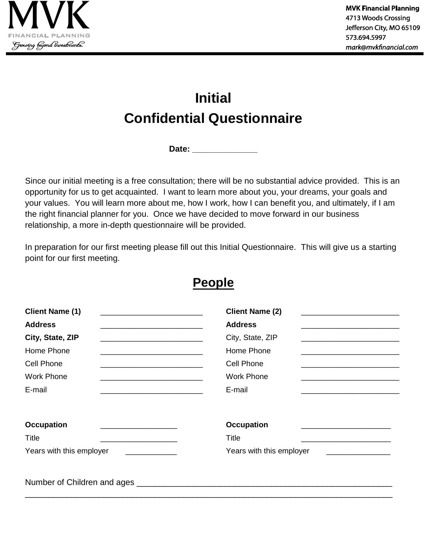

## **Initial Confidential Questionnaire**

**Date: \_\_\_\_\_\_\_\_\_\_\_\_\_\_**

Since our initial meeting is a free consultation; there will be no substantial advice provided. This is an opportunity for us to get acquainted. I want to learn more about you, your dreams, your goals and your values. You will learn more about me, how I work, how I can benefit you, and ultimately, if I am the right financial planner for you. Once we have decided to move forward in our business relationship, a more in-depth questionnaire will be provided.

In preparation for our first meeting please fill out this Initial Questionnaire. This will give us a starting point for our first meeting.

| <b>Client Name (1)</b>                                                                                                                           | <b>Client Name (2)</b>   |
|--------------------------------------------------------------------------------------------------------------------------------------------------|--------------------------|
| <b>Address</b><br><u> 1989 - Johann Barbara, margaret eta idazlea (h. 1989).</u>                                                                 | <b>Address</b>           |
| City, State, ZIP<br><u> 1989 - Johann Barbara, martxa alemaniar argumento de la contexta de la contexta de la contexta de la context</u>         | City, State, ZIP         |
| Home Phone<br><u> 1980 - Johann John Stone, mars et al. 1980 - John Stone, mars et al. 1980 - John Stone, mars et al. 1980 - John Stone</u>      | Home Phone               |
| Cell Phone<br><u> 1989 - Andrea Stadt Britain, amerikansk politik (</u>                                                                          | Cell Phone               |
| <b>Work Phone</b>                                                                                                                                | <b>Work Phone</b>        |
| E-mail                                                                                                                                           | E-mail                   |
| <b>Occupation</b>                                                                                                                                | <b>Occupation</b>        |
| <b>Title</b><br>the control of the control of the control of the control of the control of the control of                                        | Title                    |
| Years with this employer<br><u> 1980 - Jan Stein Stein Stein Stein Stein Stein Stein Stein Stein Stein Stein Stein Stein Stein Stein Stein S</u> | Years with this employer |
| Number of Children and ages                                                                                                                      |                          |

\_\_\_\_\_\_\_\_\_\_\_\_\_\_\_\_\_\_\_\_\_\_\_\_\_\_\_\_\_\_\_\_\_\_\_\_\_\_\_\_\_\_\_\_\_\_\_\_\_\_\_\_\_\_\_\_\_\_\_\_\_\_\_\_\_\_\_\_\_\_\_\_\_\_\_\_\_\_\_

## **People**